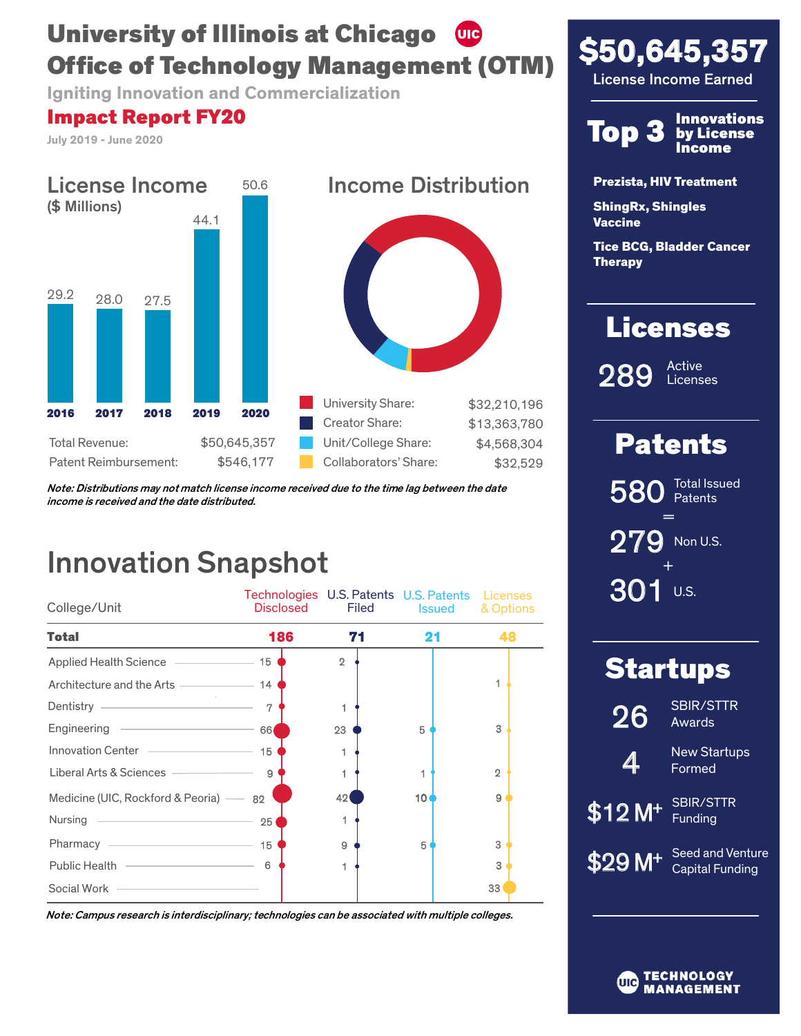# University of Illinois at Chicago (UIC) Office of Technology Management (OTM)

Igniting Innovation and Commercialization

# Impact Report FY20

July 2019 - June 2020



Note: Distributions may not match license income received due to the time lag between the date income is received and the date distributed.

# Innovation Snapshot

| College/Unit                                                                             | Technologies U.S. Patents U.S. Patents Licenses<br>Disclosed | <b>Filed</b>   | <b>Issued</b>   | & Options      |
|------------------------------------------------------------------------------------------|--------------------------------------------------------------|----------------|-----------------|----------------|
| <b>Total</b>                                                                             | 186                                                          | 71             | 21              | 48             |
| Applied Health Science                                                                   | 15                                                           | $\overline{2}$ |                 |                |
| Architecture and the Arts ———————————————————— 14                                        |                                                              |                |                 |                |
| Dentistry <u>_______________________</u>                                                 | 7                                                            |                |                 |                |
| Engineering<br>and the state of the state of the state of the                            | 66                                                           | 23             | 5               | 3              |
| Innovation Center _______________                                                        | 15                                                           |                |                 |                |
| Liberal Arts & Sciences -                                                                | $\mathbf{9}$                                                 |                |                 | $\mathfrak{D}$ |
| Medicine (UIC, Rockford & Peoria) -                                                      | 82                                                           | 42             | 10 <sub>1</sub> | 9              |
| Nursing<br>the control of the control of the control of the control of the control of    | 25                                                           |                |                 |                |
| Pharmacy -<br>the control of the control of the control of the control of the control of | 15                                                           | 9              | 5               | 3              |
| Public Health <u>________________________</u>                                            | 6                                                            |                |                 | 3              |
| Social Work                                                                              |                                                              |                |                 | 33             |

Note: Campus research is interdisciplinary; technologies can be associated with multiple colleges.





Prezista, HIV Treatment

ShingRx, Shingles **Vaccine** 

Tice BCG, Bladder Cancer Therapy

# **Licenses**

289

Active Licenses

# Patents

+ = 580 279 301 Non U.S. Total Issued **Patents** 

U.S.

| <b>Startups</b>     |                                            |  |  |
|---------------------|--------------------------------------------|--|--|
| 26                  | <b>SBIR/STTR</b><br>Awards                 |  |  |
| 4                   | <b>New Startups</b><br>Formed              |  |  |
| $$12 M+$            | <b>SBIR/STTR</b><br>Funding                |  |  |
| \$29 M <sup>+</sup> | Seed and Venture<br><b>Capital Funding</b> |  |  |
|                     |                                            |  |  |

TECHNOLOGY UIC **MANAGEMENT**